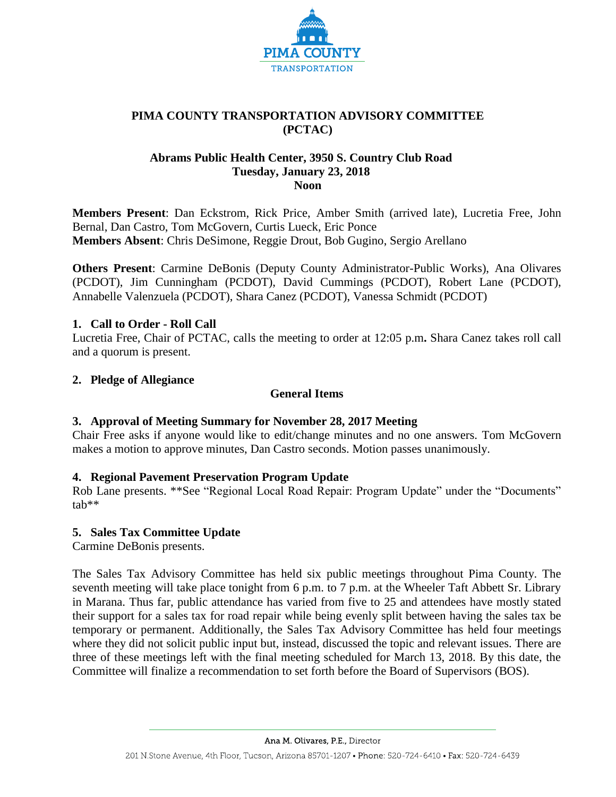

## **PIMA COUNTY TRANSPORTATION ADVISORY COMMITTEE (PCTAC)**

### **Abrams Public Health Center, 3950 S. Country Club Road Tuesday, January 23, 2018 Noon**

**Members Present**: Dan Eckstrom, Rick Price, Amber Smith (arrived late), Lucretia Free, John Bernal, Dan Castro, Tom McGovern, Curtis Lueck, Eric Ponce **Members Absent**: Chris DeSimone, Reggie Drout, Bob Gugino, Sergio Arellano

**Others Present**: Carmine DeBonis (Deputy County Administrator-Public Works), Ana Olivares (PCDOT), Jim Cunningham (PCDOT), David Cummings (PCDOT), Robert Lane (PCDOT), Annabelle Valenzuela (PCDOT), Shara Canez (PCDOT), Vanessa Schmidt (PCDOT)

## **1. Call to Order - Roll Call**

Lucretia Free, Chair of PCTAC, calls the meeting to order at 12:05 p.m**.** Shara Canez takes roll call and a quorum is present.

### **2. Pledge of Allegiance**

### **General Items**

## **3. Approval of Meeting Summary for November 28, 2017 Meeting**

Chair Free asks if anyone would like to edit/change minutes and no one answers. Tom McGovern makes a motion to approve minutes, Dan Castro seconds. Motion passes unanimously.

## **4. Regional Pavement Preservation Program Update**

Rob Lane presents. \*\*See "Regional Local Road Repair: Program Update" under the "Documents" tab\*\*

## **5. Sales Tax Committee Update**

Carmine DeBonis presents.

The Sales Tax Advisory Committee has held six public meetings throughout Pima County. The seventh meeting will take place tonight from 6 p.m. to 7 p.m. at the Wheeler Taft Abbett Sr. Library in Marana. Thus far, public attendance has varied from five to 25 and attendees have mostly stated their support for a sales tax for road repair while being evenly split between having the sales tax be temporary or permanent. Additionally, the Sales Tax Advisory Committee has held four meetings where they did not solicit public input but, instead, discussed the topic and relevant issues. There are three of these meetings left with the final meeting scheduled for March 13, 2018. By this date, the Committee will finalize a recommendation to set forth before the Board of Supervisors (BOS).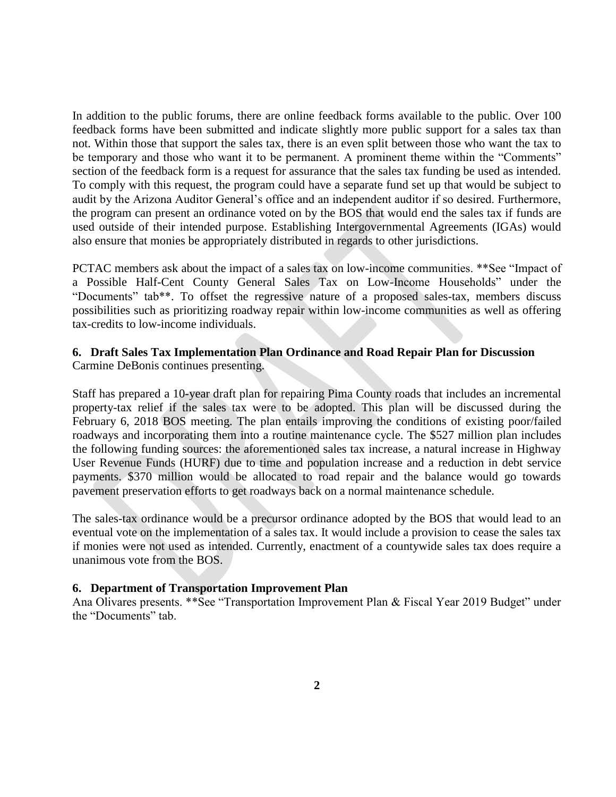In addition to the public forums, there are online feedback forms available to the public. Over 100 feedback forms have been submitted and indicate slightly more public support for a sales tax than not. Within those that support the sales tax, there is an even split between those who want the tax to be temporary and those who want it to be permanent. A prominent theme within the "Comments" section of the feedback form is a request for assurance that the sales tax funding be used as intended. To comply with this request, the program could have a separate fund set up that would be subject to audit by the Arizona Auditor General's office and an independent auditor if so desired. Furthermore, the program can present an ordinance voted on by the BOS that would end the sales tax if funds are used outside of their intended purpose. Establishing Intergovernmental Agreements (IGAs) would also ensure that monies be appropriately distributed in regards to other jurisdictions.

PCTAC members ask about the impact of a sales tax on low-income communities. \*\*See "Impact of a Possible Half-Cent County General Sales Tax on Low-Income Households" under the "Documents" tab\*\*. To offset the regressive nature of a proposed sales-tax, members discuss possibilities such as prioritizing roadway repair within low-income communities as well as offering tax-credits to low-income individuals.

#### **6. Draft Sales Tax Implementation Plan Ordinance and Road Repair Plan for Discussion** Carmine DeBonis continues presenting.

Staff has prepared a 10-year draft plan for repairing Pima County roads that includes an incremental property-tax relief if the sales tax were to be adopted. This plan will be discussed during the February 6, 2018 BOS meeting. The plan entails improving the conditions of existing poor/failed roadways and incorporating them into a routine maintenance cycle. The \$527 million plan includes the following funding sources: the aforementioned sales tax increase, a natural increase in Highway User Revenue Funds (HURF) due to time and population increase and a reduction in debt service payments. \$370 million would be allocated to road repair and the balance would go towards pavement preservation efforts to get roadways back on a normal maintenance schedule.

The sales-tax ordinance would be a precursor ordinance adopted by the BOS that would lead to an eventual vote on the implementation of a sales tax. It would include a provision to cease the sales tax if monies were not used as intended. Currently, enactment of a countywide sales tax does require a unanimous vote from the BOS.

#### **6. Department of Transportation Improvement Plan**

Ana Olivares presents. \*\*See "Transportation Improvement Plan & Fiscal Year 2019 Budget" under the "Documents" tab.